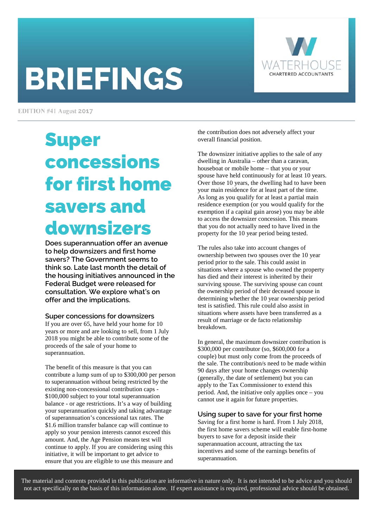# **BRIEFINGS**



EDITION #41 August 2017

# Super concessions for first home savers and downsizers

**Does superannuation offer an avenue to help downsizers and first home savers? The Government seems to think so. Late last month the detail of the housing initiatives announced in the Federal Budget were released for consultation. We explore what's on offer and the implications.** 

#### **Super concessions for downsizers**

If you are over 65, have held your home for 10 years or more and are looking to sell, from 1 July 2018 you might be able to contribute some of the proceeds of the sale of your home to superannuation.

The benefit of this measure is that you can contribute a lump sum of up to \$300,000 per person to superannuation without being restricted by the existing non-concessional contribution caps - \$100,000 subject to your total superannuation balance - or age restrictions. It's a way of building your superannuation quickly and taking advantage of superannuation's concessional tax rates. The \$1.6 million transfer balance cap will continue to apply so your pension interests cannot exceed this amount. And, the Age Pension means test will continue to apply. If you are considering using this initiative, it will be important to get advice to ensure that you are eligible to use this measure and

the contribution does not adversely affect your overall financial position.

The downsizer initiative applies to the sale of any dwelling in Australia – other than a caravan, houseboat or mobile home – that you or your spouse have held continuously for at least 10 years. Over those 10 years, the dwelling had to have been your main residence for at least part of the time. As long as you qualify for at least a partial main residence exemption (or you would qualify for the exemption if a capital gain arose) you may be able to access the downsizer concession. This means that you do not actually need to have lived in the property for the 10 year period being tested.

The rules also take into account changes of ownership between two spouses over the 10 year period prior to the sale. This could assist in situations where a spouse who owned the property has died and their interest is inherited by their surviving spouse. The surviving spouse can count the ownership period of their deceased spouse in determining whether the 10 year ownership period test is satisfied. This rule could also assist in situations where assets have been transferred as a result of marriage or de facto relationship breakdown.

In general, the maximum downsizer contribution is \$300,000 per contributor (so, \$600,000 for a couple) but must only come from the proceeds of the sale. The contribution/s need to be made within 90 days after your home changes ownership (generally, the date of settlement) but you can apply to the Tax Commissioner to extend this period. And, the initiative only applies once – you cannot use it again for future properties.

#### **Using super to save for your first home**

Saving for a first home is hard. From 1 July 2018, the first home savers scheme will enable first-home buyers to save for a deposit inside their superannuation account, attracting the tax incentives and some of the earnings benefits of superannuation.

The material and contents provided in this publication are informative in nature only. It is not intended to be advice and you should not act specifically on the basis of this information alone. If expert assistance is required, professional advice should be obtained.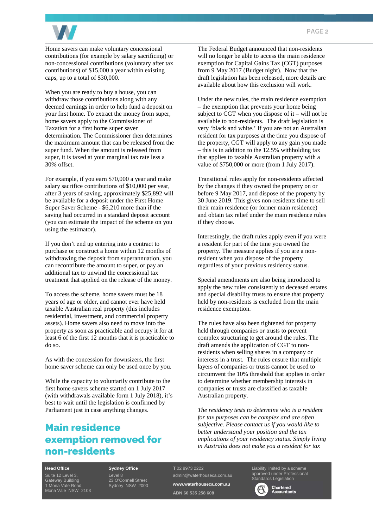

Home savers can make voluntary concessional contributions (for example by salary sacrificing) or non-concessional contributions (voluntary after tax contributions) of \$15,000 a year within existing caps, up to a total of \$30,000.

When you are ready to buy a house, you can withdraw those contributions along with any deemed earnings in order to help fund a deposit on your first home. To extract the money from super, home savers apply to the Commissioner of Taxation for a first home super saver determination. The Commissioner then determines the maximum amount that can be released from the super fund. When the amount is released from super, it is taxed at your marginal tax rate less a 30% offset.

For example, if you earn \$70,000 a year and make salary sacrifice contributions of \$10,000 per year, after 3 years of saving, approximately \$25,892 will be available for a deposit under the First Home Super Saver Scheme - \$6,210 more than if the saving had occurred in a standard deposit account (you can estimate the impact of the scheme on you using the estimator).

If you don't end up entering into a contract to purchase or construct a home within 12 months of withdrawing the deposit from superannuation, you can recontribute the amount to super, or pay an additional tax to unwind the concessional tax treatment that applied on the release of the money.

To access the scheme, home savers must be 18 years of age or older, and cannot ever have held taxable Australian real property (this includes residential, investment, and commercial property assets). Home savers also need to move into the property as soon as practicable and occupy it for at least 6 of the first 12 months that it is practicable to do so.

As with the concession for downsizers, the first home saver scheme can only be used once by you.

While the capacity to voluntarily contribute to the first home savers scheme started on 1 July 2017 (with withdrawals available form 1 July 2018), it's best to wait until the legislation is confirmed by Parliament just in case anything changes.

# Main residence exemption removed for non-residents

The Federal Budget announced that non-residents will no longer be able to access the main residence exemption for Capital Gains Tax (CGT) purposes from 9 May 2017 (Budget night). Now that the draft legislation has been released, more details are available about how this exclusion will work.

Under the new rules, the main residence exemption – the exemption that prevents your home being subject to CGT when you dispose of it – will not be available to non-residents. The draft legislation is very 'black and white.' If you are not an Australian resident for tax purposes at the time you dispose of the property, CGT will apply to any gain you made – this is in addition to the 12.5% withholding tax that applies to taxable Australian property with a value of \$750,000 or more (from 1 July 2017).

Transitional rules apply for non-residents affected by the changes if they owned the property on or before 9 May 2017, and dispose of the property by 30 June 2019. This gives non-residents time to sell their main residence (or former main residence) and obtain tax relief under the main residence rules if they choose.

Interestingly, the draft rules apply even if you were a resident for part of the time you owned the property. The measure applies if you are a nonresident when you dispose of the property regardless of your previous residency status.

Special amendments are also being introduced to apply the new rules consistently to deceased estates and special disability trusts to ensure that property held by non-residents is excluded from the main residence exemption.

The rules have also been tightened for property held through companies or trusts to prevent complex structuring to get around the rules. The draft amends the application of CGT to nonresidents when selling shares in a company or interests in a trust. The rules ensure that multiple layers of companies or trusts cannot be used to circumvent the 10% threshold that applies in order to determine whether membership interests in companies or trusts are classified as taxable Australian property.

*The residency tests to determine who is a resident for tax purposes can be complex and are often subjective. Please contact us if you would like to better understand your position and the tax implications of your residency status. Simply living in Australia does not make you a resident for tax* 

#### **Head Office**

Gateway Building 1 Mona Vale Road Mona Vale NSW 2103 **Sydney Office**  Level 8

23 O'Connell Street Sydney NSW 2000 **T** 02 8973 2222

admin@waterhouseca.com.au **www.waterhouseca.com.au ABN 60 535 258 608** 

Liability limited by a scheme approved under Professional dards Legislation



**Chartered**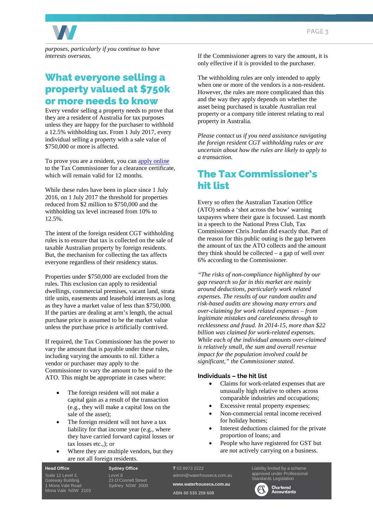

*purposes, particularly if you continue to have interests overseas.* 

### What everyone selling a property valued at \$750k or more needs to know

Every vendor selling a property needs to prove that they are a resident of Australia for tax purposes unless they are happy for the purchaser to withhold a 12.5% withholding tax. From 1 July 2017, every individual selling a property with a sale value of \$750,000 or more is affected.

To prove you are a resident, you can apply online to the Tax Commissioner for a clearance certificate, which will remain valid for 12 months.

While these rules have been in place since 1 July 2016, on 1 July 2017 the threshold for properties reduced from \$2 million to \$750,000 and the withholding tax level increased from 10% to 12.5%.

The intent of the foreign resident CGT withholding rules is to ensure that tax is collected on the sale of taxable Australian property by foreign residents. But, the mechanism for collecting the tax affects everyone regardless of their residency status.

Properties under \$750,000 are excluded from the rules. This exclusion can apply to residential dwellings, commercial premises, vacant land, strata title units, easements and leasehold interests as long as they have a market value of less than \$750,000. If the parties are dealing at arm's length, the actual purchase price is assumed to be the market value unless the purchase price is artificially contrived.

If required, the Tax Commissioner has the power to vary the amount that is payable under these rules, including varying the amounts to nil. Either a vendor or purchaser may apply to the Commissioner to vary the amount to be paid to the ATO. This might be appropriate in cases where:

- The foreign resident will not make a capital gain as a result of the transaction (e.g., they will make a capital loss on the sale of the asset);
- The foreign resident will not have a tax liability for that income year (e.g., where they have carried forward capital losses or tax losses etc.,); or
- Where they are multiple vendors, but they are not all foreign residents.

If the Commissioner agrees to vary the amount, it is only effective if it is provided to the purchaser.

The withholding rules are only intended to apply when one or more of the vendors is a non-resident. However, the rules are more complicated than this and the way they apply depends on whether the asset being purchased is taxable Australian real property or a company title interest relating to real property in Australia.

*Please contact us if you need assistance navigating the foreign resident CGT withholding rules or are uncertain about how the rules are likely to apply to a transaction.* 

## The Tax Commissioner's hit list

Every so often the Australian Taxation Office (ATO) sends a 'shot across the bow' warning taxpayers where their gaze is focussed. Last month in a speech to the National Press Club, Tax Commissioner Chris Jordan did exactly that. Part of the reason for this public outing is the gap between the amount of tax the ATO collects and the amount they think should be collected – a gap of well over 6% according to the Commissioner.

*"The risks of non-compliance highlighted by our gap research so far in this market are mainly around deductions, particularly work related expenses. The results of our random audits and risk-based audits are showing many errors and over-claiming for work related expenses – from legitimate mistakes and carelessness through to recklessness and fraud. In 2014-15, more than \$22 billion was claimed for work-related expenses. While each of the individual amounts over-claimed is relatively small, the sum and overall revenue impact for the population involved could be significant," the Commissioner stated.* 

#### **Individuals – the hit list**

- Claims for work-related expenses that are unusually high relative to others across comparable industries and occupations;
- Excessive rental property expenses;
- Non-commercial rental income received for holiday homes;
- Interest deductions claimed for the private proportion of loans; and
- People who have registered for GST but are not actively carrying on a business.

**Head Office**  Gateway Building 1 Mona Vale Road Mona Vale NSW 2103 **Sydney Office**  Level 8 23 O'Connell Street Sydney NSW 2000

#### **T** 02 8973 2222 admin@waterhouseca.com.au

**www.waterhouseca.com.au ABN 60 535 258 608** 

Liability limited by a scheme approved under Professional Standards Legislation